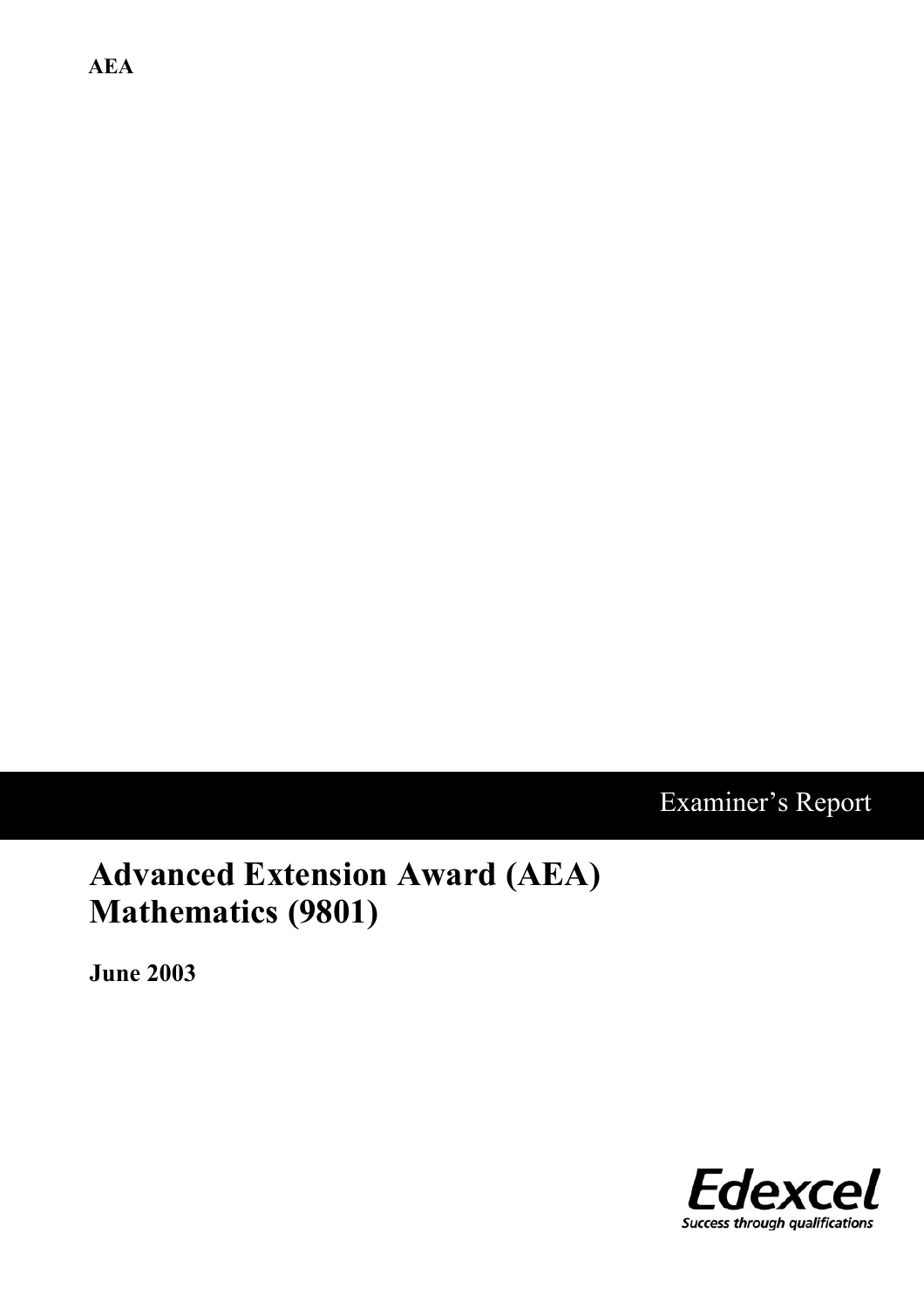**AEA**

# Examiner's Report

# **Advanced Extension Award (AEA) Mathematics (9801)**

**June 2003**

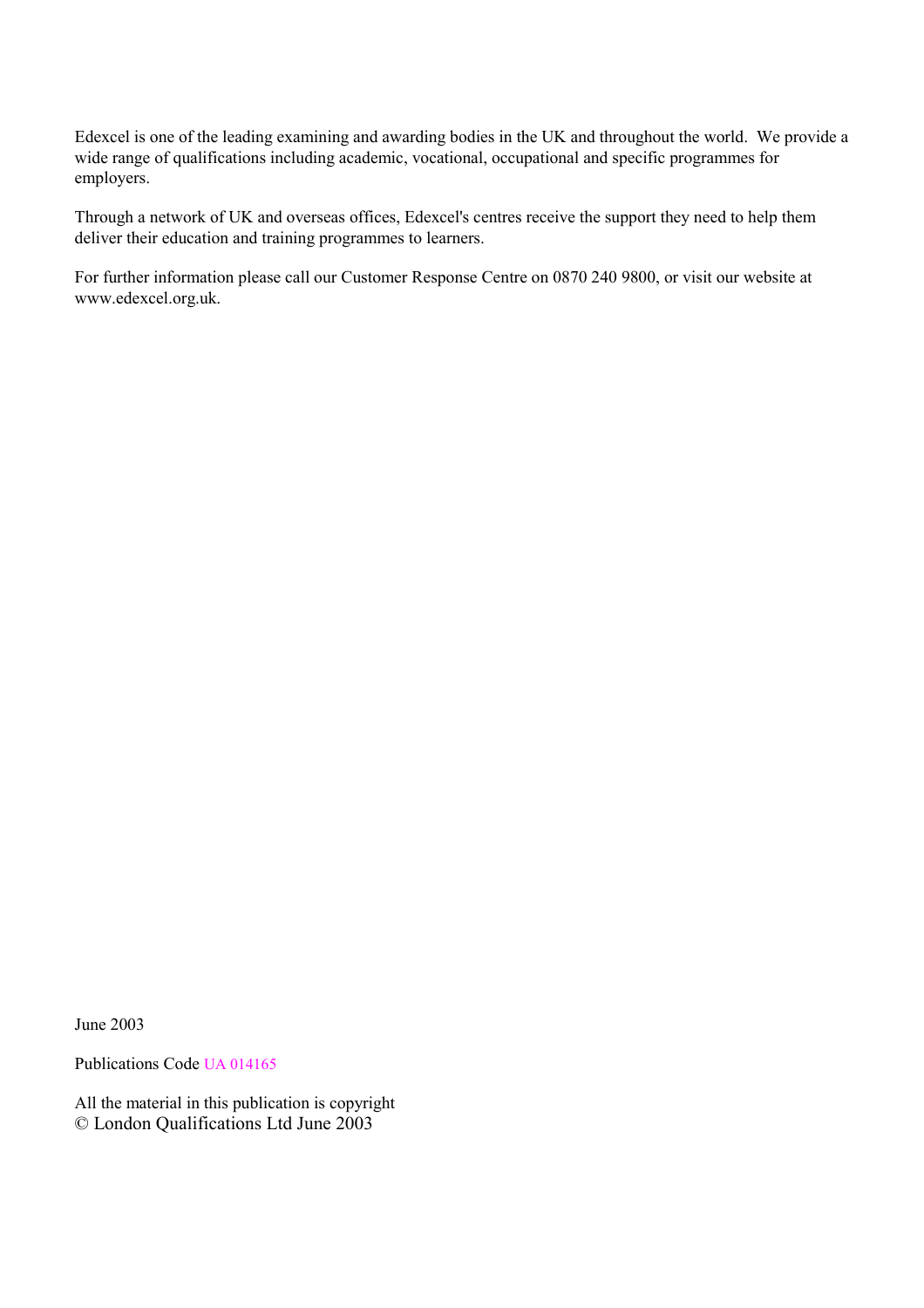Edexcel is one of the leading examining and awarding bodies in the UK and throughout the world. We provide a wide range of qualifications including academic, vocational, occupational and specific programmes for employers.

Through a network of UK and overseas offices, Edexcel's centres receive the support they need to help them deliver their education and training programmes to learners.

For further information please call our Customer Response Centre on 0870 240 9800, or visit our website at www.edexcel.org.uk.

June 2003

Publications Code UA 014165

All the material in this publication is copyright © London Qualifications Ltd June 2003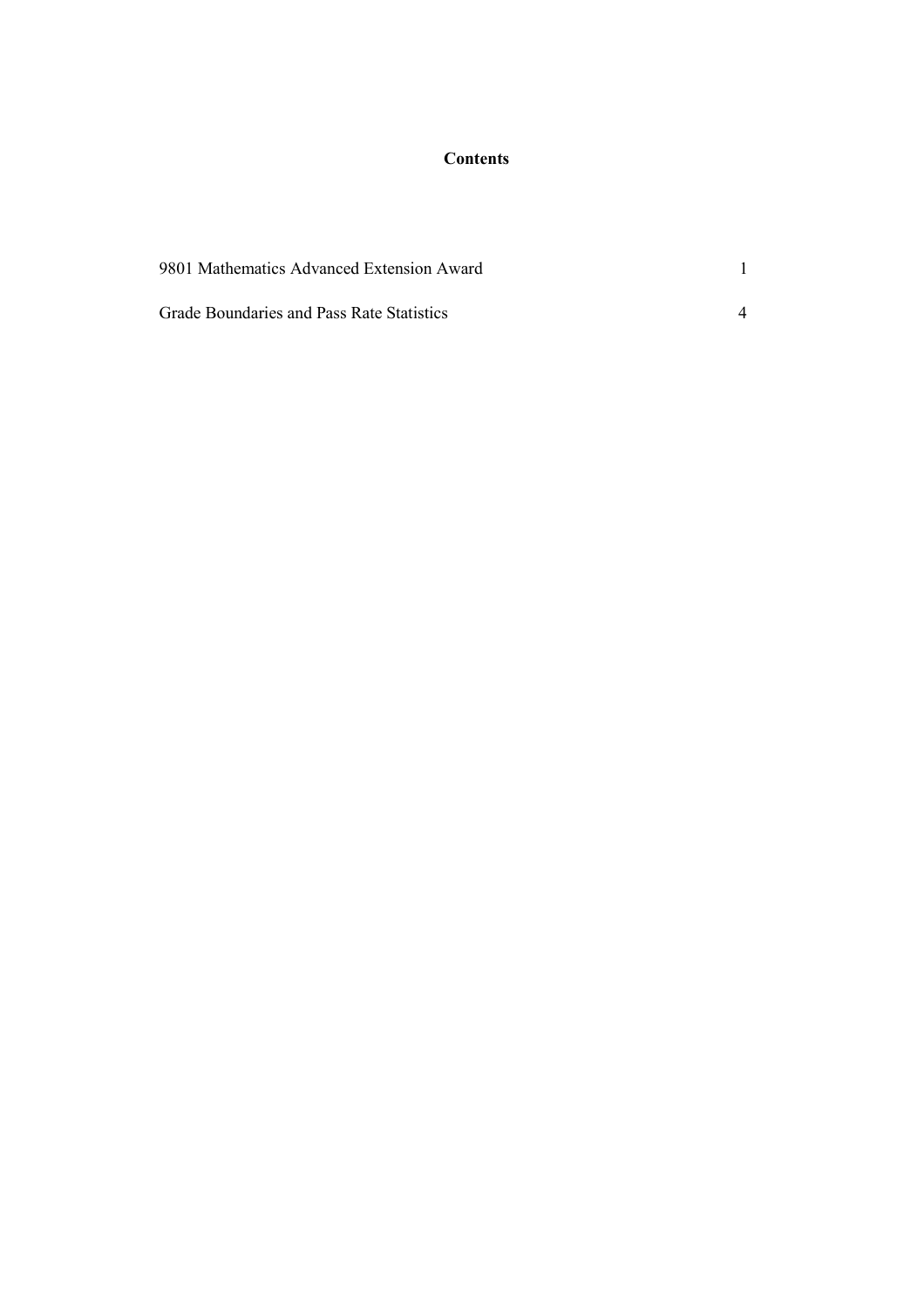#### **Contents**

| 9801 Mathematics Advanced Extension Award |  |  |  |
|-------------------------------------------|--|--|--|
| Grade Boundaries and Pass Rate Statistics |  |  |  |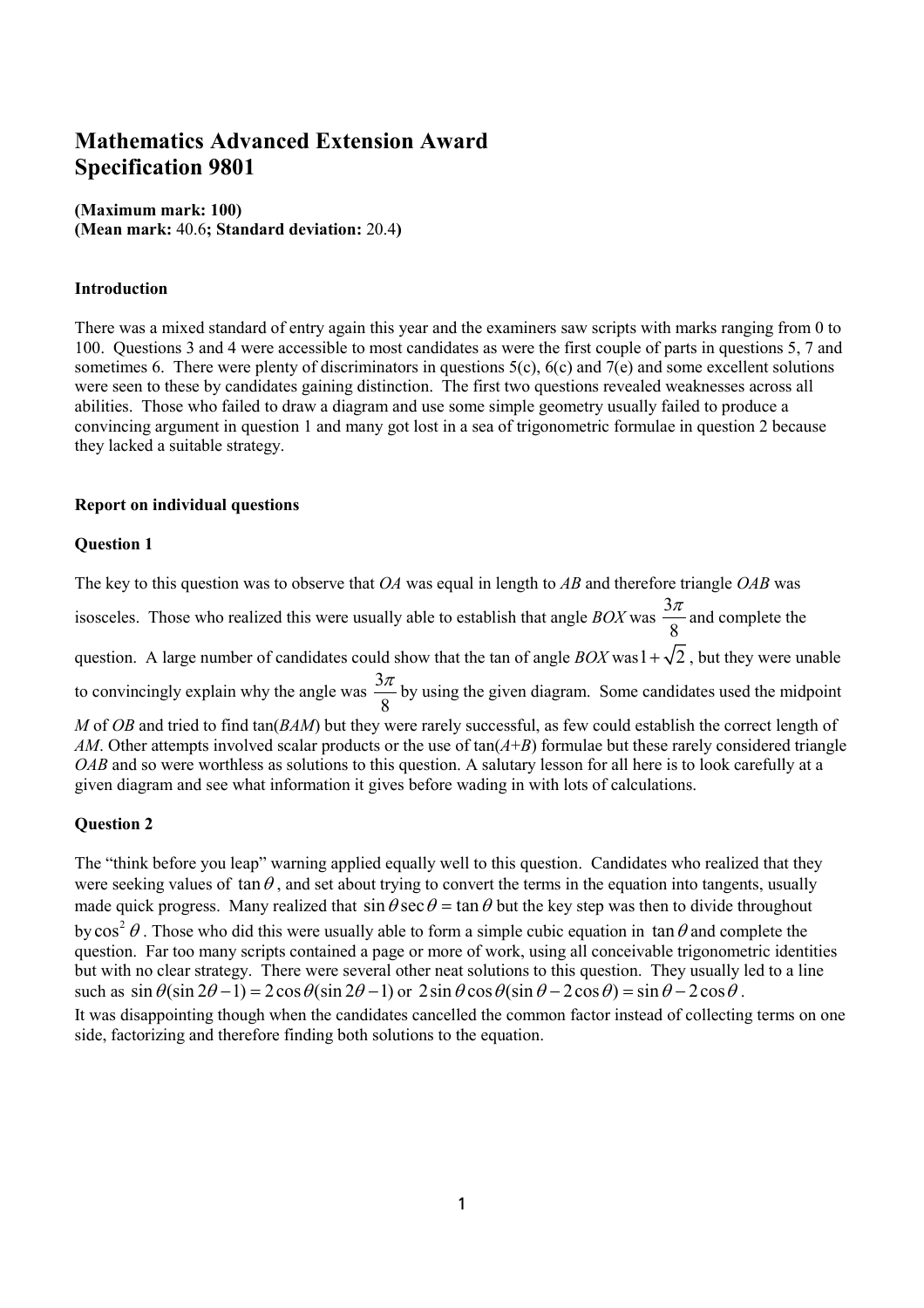### **Mathematics Advanced Extension Award Specification 9801**

#### **(Maximum mark: 100) (Mean mark:** 40.6**; Standard deviation:** 20.4**)**

#### **Introduction**

There was a mixed standard of entry again this year and the examiners saw scripts with marks ranging from 0 to 100. Questions 3 and 4 were accessible to most candidates as were the first couple of parts in questions 5, 7 and sometimes 6. There were plenty of discriminators in questions 5(c), 6(c) and 7(e) and some excellent solutions were seen to these by candidates gaining distinction. The first two questions revealed weaknesses across all abilities. Those who failed to draw a diagram and use some simple geometry usually failed to produce a convincing argument in question 1 and many got lost in a sea of trigonometric formulae in question 2 because they lacked a suitable strategy.

#### **Report on individual questions**

#### **Question 1**

The key to this question was to observe that *OA* was equal in length to *AB* and therefore triangle *OAB* was isosceles. Those who realized this were usually able to establish that angle *BOX* was  $\frac{3}{2}$ 8  $\frac{\pi}{2}$  and complete the question. A large number of candidates could show that the tan of angle *BOX* was  $1 + \sqrt{2}$ , but they were unable to convincingly explain why the angle was  $\frac{3}{3}$ 8  $\frac{\pi}{g}$  by using the given diagram. Some candidates used the midpoint *M* of *OB* and tried to find tan(*BAM*) but they were rarely successful, as few could establish the correct length of *AM*. Other attempts involved scalar products or the use of tan(*A*+*B*) formulae but these rarely considered triangle *OAB* and so were worthless as solutions to this question. A salutary lesson for all here is to look carefully at a given diagram and see what information it gives before wading in with lots of calculations.

#### **Question 2**

The "think before you leap" warning applied equally well to this question. Candidates who realized that they were seeking values of  $\tan \theta$ , and set about trying to convert the terms in the equation into tangents, usually made quick progress. Many realized that  $\sin \theta \sec \theta = \tan \theta$  but the key step was then to divide throughout by  $\cos^2 \theta$ . Those who did this were usually able to form a simple cubic equation in  $\tan \theta$  and complete the question. Far too many scripts contained a page or more of work, using all conceivable trigonometric identities but with no clear strategy. There were several other neat solutions to this question. They usually led to a line such as  $\sin \theta (\sin 2\theta - 1) = 2 \cos \theta (\sin 2\theta - 1)$  or  $2 \sin \theta \cos \theta (\sin \theta - 2 \cos \theta) = \sin \theta - 2 \cos \theta$ . It was disappointing though when the candidates cancelled the common factor instead of collecting terms on one side, factorizing and therefore finding both solutions to the equation.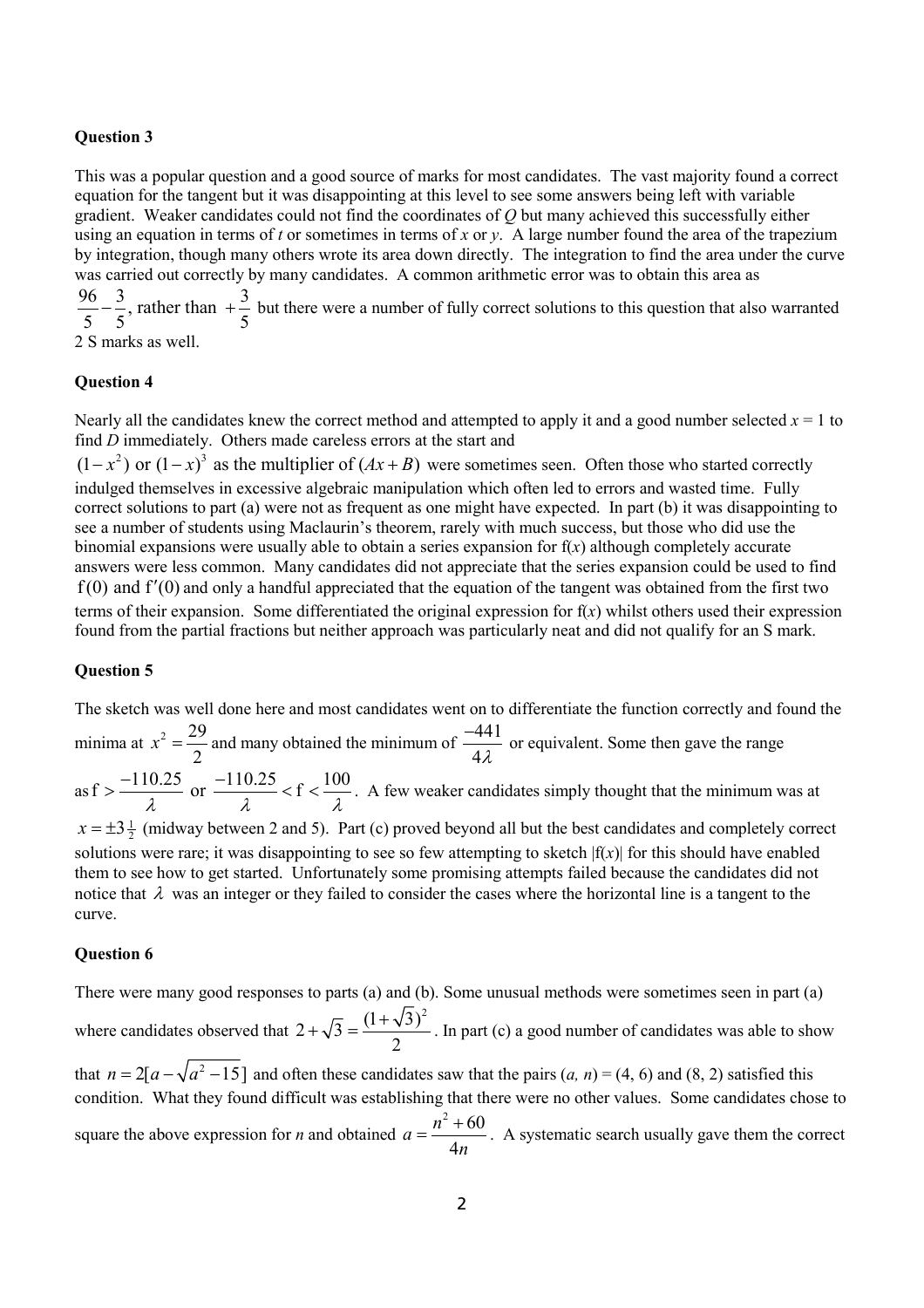#### **Question 3**

This was a popular question and a good source of marks for most candidates. The vast majority found a correct equation for the tangent but it was disappointing at this level to see some answers being left with variable gradient. Weaker candidates could not find the coordinates of *Q* but many achieved this successfully either using an equation in terms of *t* or sometimes in terms of *x* or *y*. A large number found the area of the trapezium by integration, though many others wrote its area down directly. The integration to find the area under the curve was carried out correctly by many candidates. A common arithmetic error was to obtain this area as  $\frac{96}{5} - \frac{3}{5}$ , rather than  $+\frac{3}{5}$  but there were a number of fully correct solutions to this question that also warranted

2 S marks as well.

#### **Question 4**

Nearly all the candidates knew the correct method and attempted to apply it and a good number selected  $x = 1$  to find *D* immediately. Others made careless errors at the start and

 $(1 - x^2)$  or  $(1 - x)^3$  as the multiplier of  $(Ax + B)$  were sometimes seen. Often those who started correctly indulged themselves in excessive algebraic manipulation which often led to errors and wasted time. Fully correct solutions to part (a) were not as frequent as one might have expected. In part (b) it was disappointing to see a number of students using Maclaurin's theorem, rarely with much success, but those who did use the binomial expansions were usually able to obtain a series expansion for  $f(x)$  although completely accurate answers were less common. Many candidates did not appreciate that the series expansion could be used to find  $f(0)$  and  $f'(0)$  and only a handful appreciated that the equation of the tangent was obtained from the first two terms of their expansion. Some differentiated the original expression for f(*x*) whilst others used their expression found from the partial fractions but neither approach was particularly neat and did not qualify for an S mark.

#### **Question 5**

The sketch was well done here and most candidates went on to differentiate the function correctly and found the minima at  $x^2 = \frac{29}{3}$ 2  $x^2 = \frac{29}{2}$  and many obtained the minimum of  $\frac{-441}{16}$ 4λ  $\frac{-441}{40}$  or equivalent. Some then gave the range as  $f > \frac{-110.25}{\lambda}$  or  $\frac{-110.25}{\lambda} < f < \frac{100}{\lambda}$  $\geq \frac{-110.25}{10.25}$  or  $\frac{-110.25}{10.25} < f < \frac{100}{10.25}$ . A few weaker candidates simply thought that the minimum was at  $x = \pm 3\frac{1}{2}$  (midway between 2 and 5). Part (c) proved beyond all but the best candidates and completely correct solutions were rare; it was disappointing to see so few attempting to sketch  $|f(x)|$  for this should have enabled

them to see how to get started. Unfortunately some promising attempts failed because the candidates did not notice that  $\lambda$  was an integer or they failed to consider the cases where the horizontal line is a tangent to the curve.

#### **Question 6**

There were many good responses to parts (a) and (b). Some unusual methods were sometimes seen in part (a) where candidates observed that  $2 + \sqrt{3} = \frac{(1 + \sqrt{3})^2}{2}$ 2  $+\sqrt{3} = \frac{(1+\sqrt{3})^2}{2}$ . In part (c) a good number of candidates was able to show that  $n = 2[a - \sqrt{a^2 - 15}]$  and often these candidates saw that the pairs  $(a, n) = (4, 6)$  and  $(8, 2)$  satisfied this condition. What they found difficult was establishing that there were no other values. Some candidates chose to square the above expression for *n* and obtained  $a = \frac{n^2 + 60}{n}$ 4  $a = \frac{n}{2}$ *n*  $=\frac{n^2+60}{1}$ . A systematic search usually gave them the correct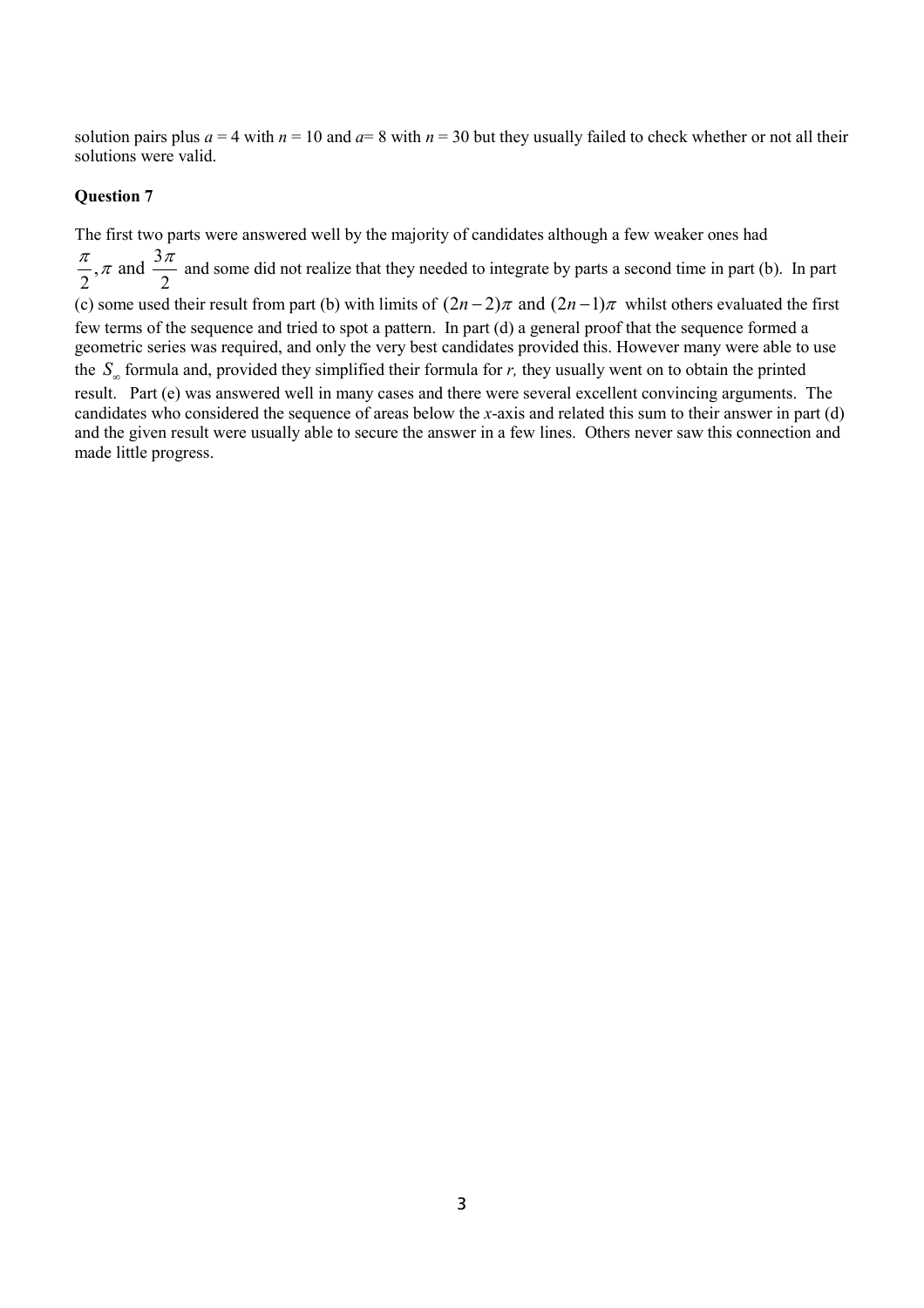solution pairs plus  $a = 4$  with  $n = 10$  and  $a = 8$  with  $n = 30$  but they usually failed to check whether or not all their solutions were valid.

#### **Question 7**

The first two parts were answered well by the majority of candidates although a few weaker ones had

 $\pi$  and  $\frac{3}{2}$  $2^{7}$  2  $\frac{\pi}{4}$ ,  $\pi$  and  $\frac{3\pi}{4}$  and some did not realize that they needed to integrate by parts a second time in part (b). In part

(c) some used their result from part (b) with limits of  $(2n-2)\pi$  and  $(2n-1)\pi$  whilst others evaluated the first few terms of the sequence and tried to spot a pattern. In part (d) a general proof that the sequence formed a geometric series was required, and only the very best candidates provided this. However many were able to use the  $S_n$  formula and, provided they simplified their formula for *r*, they usually went on to obtain the printed result. Part (e) was answered well in many cases and there were several excellent convincing arguments. The

candidates who considered the sequence of areas below the *x*-axis and related this sum to their answer in part (d) and the given result were usually able to secure the answer in a few lines. Others never saw this connection and made little progress.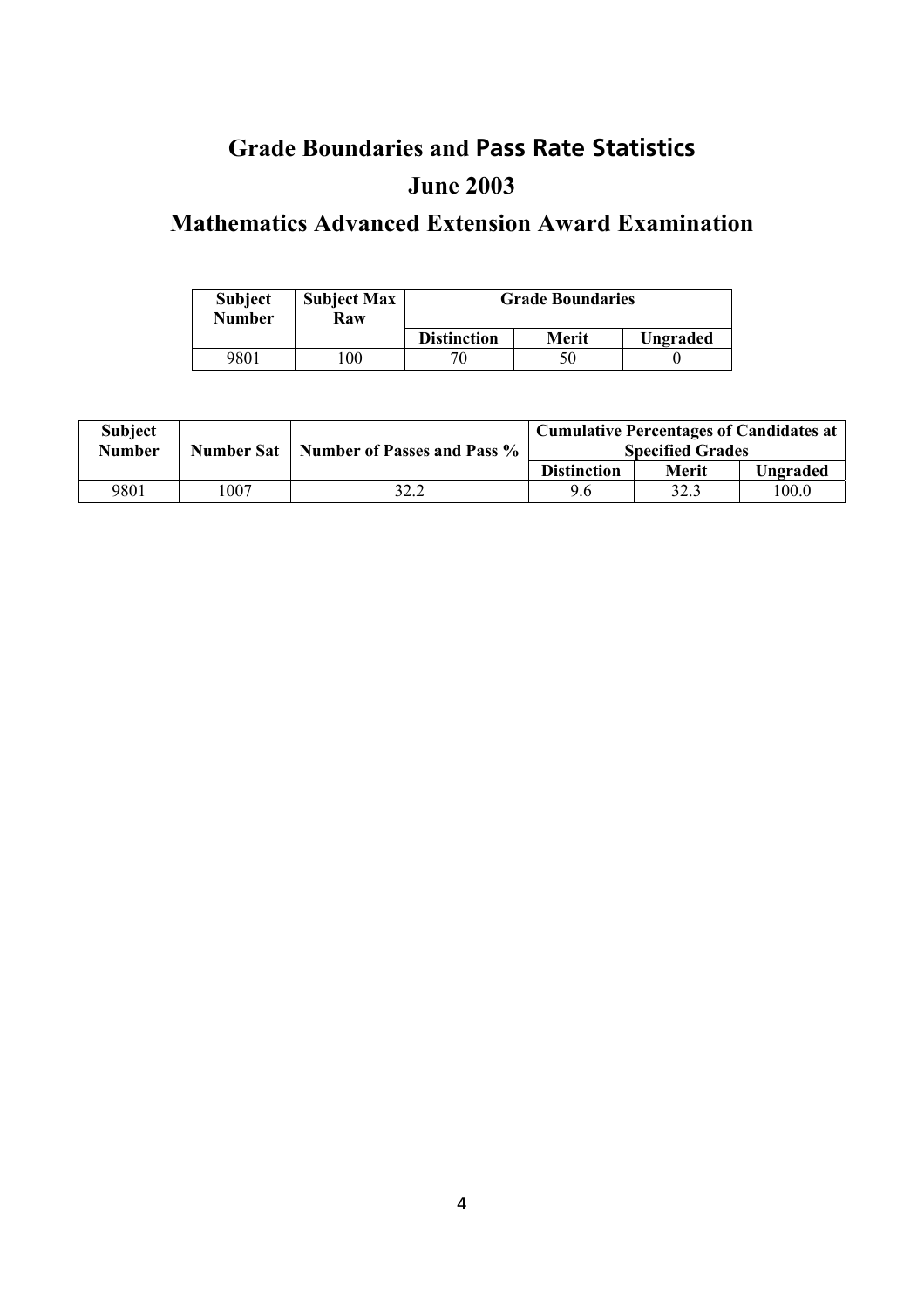## **Grade Boundaries and Pass Rate Statistics June 2003**

### **Mathematics Advanced Extension Award Examination**

| <b>Subject</b><br><b>Number</b> | <b>Subject Max</b><br>Raw | <b>Grade Boundaries</b> |       |          |  |
|---------------------------------|---------------------------|-------------------------|-------|----------|--|
|                                 |                           | <b>Distinction</b>      | Merit | Ungraded |  |
| 9801                            | 0 <sub>0</sub>            |                         | 50    |          |  |

| <b>Subject</b><br><b>Number</b> | <b>Cumulative Percentages of Candidates at</b><br><b>Number of Passes and Pass %</b><br><b>Number Sat</b><br><b>Specified Grades</b> |      |                    |       |          |
|---------------------------------|--------------------------------------------------------------------------------------------------------------------------------------|------|--------------------|-------|----------|
|                                 |                                                                                                                                      |      | <b>Distinction</b> | Merit | Ungraded |
| 9801                            | 1007                                                                                                                                 | 32.2 | 9.6                | 32.3  | 100.0    |